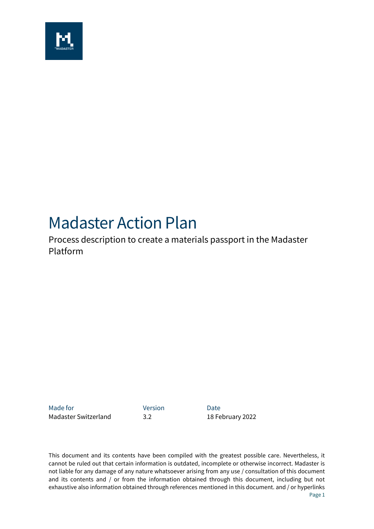

# Madaster Action Plan

Process description to create a materials passport in the Madaster Platform

Made for **Version Date** Madaster Switzerland 3.2 18 February 2022

This document and its contents have been compiled with the greatest possible care. Nevertheless, it cannot be ruled out that certain information is outdated, incomplete or otherwise incorrect. Madaster is not liable for any damage of any nature whatsoever arising from any use / consultation of this document and its contents and / or from the information obtained through this document, including but not exhaustive also information obtained through references mentioned in this document. and / or hyperlinks Page 1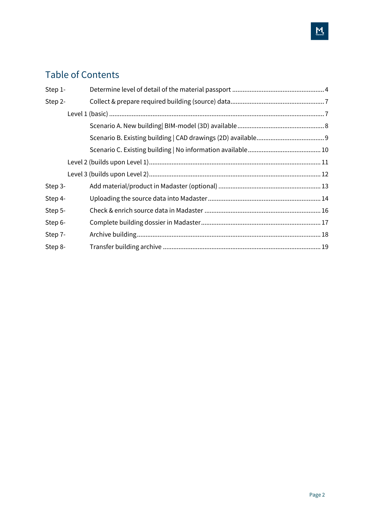# Table of Contents

| Step 1- |  |
|---------|--|
| Step 2- |  |
|         |  |
|         |  |
|         |  |
|         |  |
|         |  |
|         |  |
| Step 3- |  |
| Step 4- |  |
| Step 5- |  |
| Step 6- |  |
| Step 7- |  |
| Step 8- |  |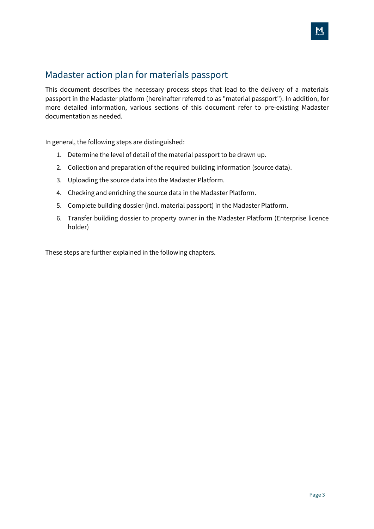### Madaster action plan for materials passport

This document describes the necessary process steps that lead to the delivery of a materials passport in the Madaster platform (hereinafter referred to as "material passport"). In addition, for more detailed information, various sections of this document refer to pre-existing Madaster documentation as needed.

In general, the following steps are distinguished:

- 1. Determine the level of detail of the material passport to be drawn up.
- 2. Collection and preparation of the required building information (source data).
- 3. Uploading the source data into the Madaster Platform.
- 4. Checking and enriching the source data in the Madaster Platform.
- 5. Complete building dossier (incl. material passport) in the Madaster Platform.
- 6. Transfer building dossier to property owner in the Madaster Platform (Enterprise licence holder)

These steps are further explained in the following chapters.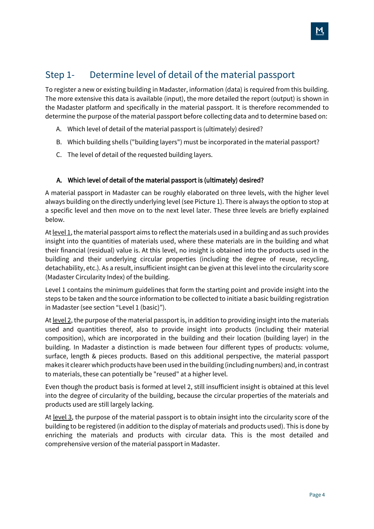### <span id="page-3-0"></span>Step 1- Determine level of detail of the material passport

To register a new or existing building in Madaster, information (data) is required from this building. The more extensive this data is available (input), the more detailed the report (output) is shown in the Madaster platform and specifically in the material passport. It is therefore recommended to determine the purpose of the material passport before collecting data and to determine based on:

- <span id="page-3-1"></span>A. Which level of detail of the material passport is (ultimately) desired?
- <span id="page-3-2"></span>B. Which building shells ("building layers") must be incorporated in the material passport?
- <span id="page-3-3"></span>C. The level of detail of the requested building layers.

#### A. [Which level of detail of the material passport is \(ultimately\) desired?](#page-3-1)

A material passport in Madaster can be roughly elaborated on three levels, with the higher level always building on the directly underlying level (see Picture 1). There is always the option to stop at a specific level and then move on to the next level later. These three levels are briefly explained below.

At  $level 1$ , the material passport aims to reflect the materials used in a building and as such provides insight into the quantities of materials used, where these materials are in the building and what their financial (residual) value is. At this level, no insight is obtained into the products used in the building and their underlying circular properties (including the degree of reuse, recycling, detachability, etc.). As a result, insufficient insight can be given at this level into the circularity score (Madaster Circularity Index) of the building.

Level 1 contains the minimum guidelines that form the starting point and provide insight into the steps to be taken and the source information to be collected to initiate a basic building registration in Madaster (see section "Level 1 (basic)").

At level 2, the purpose of the material passport is, in addition to providing insight into the materials used and quantities thereof, also to provide insight into products (including their material composition), which are incorporated in the building and their location (building layer) in the building. In Madaster a distinction is made between four different types of products: volume, surface, length & pieces products. Based on this additional perspective, the material passport makes it clearer which products have been used in the building (including numbers) and, in contrast to materials, these can potentially be "reused" at a higher level.

Even though the product basis is formed at level 2, still insufficient insight is obtained at this level into the degree of circularity of the building, because the circular properties of the materials and products used are still largely lacking.

At level 3, the purpose of the material passport is to obtain insight into the circularity score of the building to be registered (in addition to the display of materials and products used). This is done by enriching the materials and products with circular data. This is the most detailed and comprehensive version of the material passport in Madaster.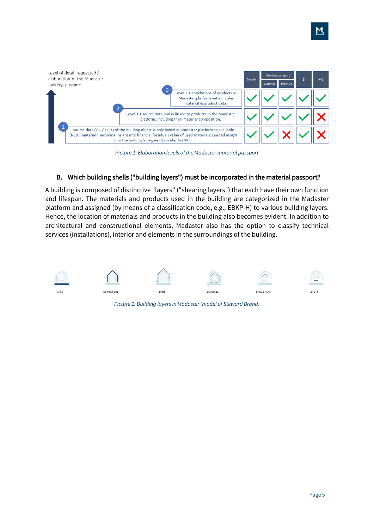

*Picture 1: Elaboration levels of the Madaster material passport*

#### B. [Which building shells \("building layers"\) must be incorporated in the material passport?](#page-3-2)

A building is composed of distinctive "layers" ("shearing layers") that each have their own function and lifespan. The materials and products used in the building are categorized in the Madaster platform and assigned (by means of a classification code, e.g., EBKP-H) to various building layers. Hence, the location of materials and products in the building also becomes evident. In addition to architectural and constructional elements, Madaster also has the option to classify technical services (installations), interior and elements in the surroundings of the building.



*Picture 2: Building layers in Madaster (model of Steward Brand)*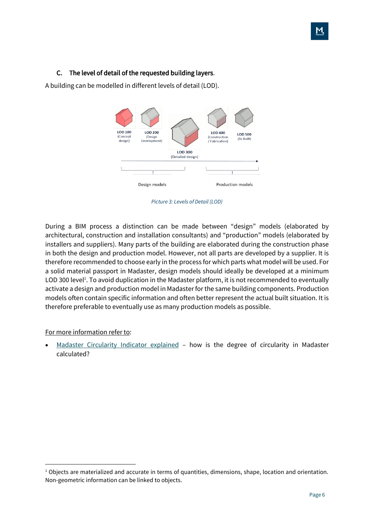#### C. [The level of detail of the requested building layers.](#page-3-3)

A building can be modelled in different levels of detail (LOD).



*Picture 3: Levels of Detail (LOD)*

During a BIM process a distinction can be made between "design" models (elaborated by architectural, construction and installation consultants) and "production" models (elaborated by installers and suppliers). Many parts of the building are elaborated during the construction phase in both the design and production model. However, not all parts are developed by a supplier. It is therefore recommended to choose early in the process for which parts what model will be used. For a solid material passport in Madaster, design models should ideally be developed at a minimum LOD 300 level<sup>1</sup>. To avoid duplication in the Madaster platform, it is not recommended to eventually activate a design and production model in Madaster for the same building components. Production models often contain specific information and often better represent the actual built situation. It is therefore preferable to eventually use as many production models as possible.

#### For more information refer to:

Madaster [Circularity](https://docs.madaster.com/ch/en/) Indicator explained – how is the degree of circularity in Madaster calculated?

 $1$  Objects are materialized and accurate in terms of quantities, dimensions, shape, location and orientation. Non-geometric information can be linked to objects.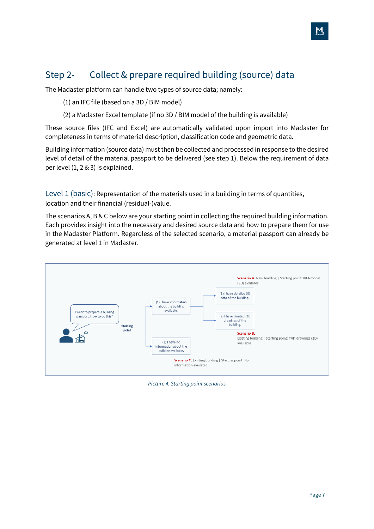# <span id="page-6-0"></span>Step 2- Collect & prepare required building (source) data

The Madaster platform can handle two types of source data; namely:

(1) an IFC file (based on a 3D / BIM model)

(2) a Madaster Excel template (if no 3D / BIM model of the building is available)

These source files (IFC and Excel) are automatically validated upon import into Madaster for completeness in terms of material description, classification code and geometric data.

Building information (source data) must then be collected and processed in response to the desired level of detail of the material passport to be delivered (see step 1). Below the requirement of data per level (1, 2 & 3) is explained.

<span id="page-6-1"></span>Level 1 (basic): Representation of the materials used in a building in terms of quantities, location and their financial (residual-)value.

The scenarios A, B & C below are your starting point in collecting the required building information. Each providex insight into the necessary and desired source data and how to prepare them for use in the Madaster Platform. Regardless of the selected scenario, a material passport can already be generated at level 1 in Madaster.



*Picture 4: Starting point scenarios*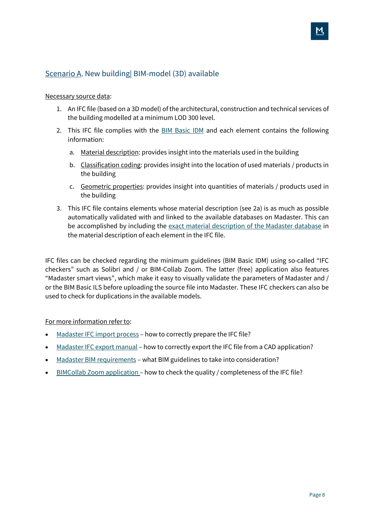### <span id="page-7-0"></span>Scenario A. New building| BIM-model (3D) available

#### Necessary source data:

- 1. An IFC file (based on a 3D model) of the architectural, construction and technical services of the building modelled at a minimum LOD 300 level.
- 2. This IFC file complies with the BIM [Basic](https://www.bimloket.nl/documents/BIM_basis_ILS_v1_0_ENG.pdf) IDM and each element contains the following information:
	- a. Material description: provides insight into the materials used in the building
	- b. Classification coding: provides insight into the location of used materials / products in the building
	- c. Geometric properties: provides insight into quantities of materials / products used in the building
- 3. This IFC file contains elements whose material description (see 2a) is as much as possible automatically validated with and linked to the available databases on Madaster. This can be accomplished by including the exact material [description](https://docs.madaster.com/ch/en/) of the Madaster database in the material description of each element in the IFC file.

IFC files can be checked regarding the minimum guidelines (BIM Basic IDM) using so-called "IFC checkers" such as Solibri and / or BIM-Collab Zoom. The latter (free) application also features "Madaster smart views", which make it easy to visually validate the parameters of Madaster and / or the BIM Basic ILS before uploading the source file into Madaster. These IFC checkers can also be used to check for duplications in the available models.

#### For more information refer to:

- [Madaster](https://docs.madaster.com/ch/en/) IFC import process how to correctly prepare the IFC file?
- [Madaster](https://docs.madaster.com/ch/en/) IFC export manual how to correctly export the IFC file from a CAD application?
- Madaster BIM [requirements](https://docs.madaster.com/ch/en/) what BIM guidelines to take into consideration?
- BIMCollab Zoom [application](https://docs.madaster.com/ch/en/) how to check the quality / completeness of the IFC file?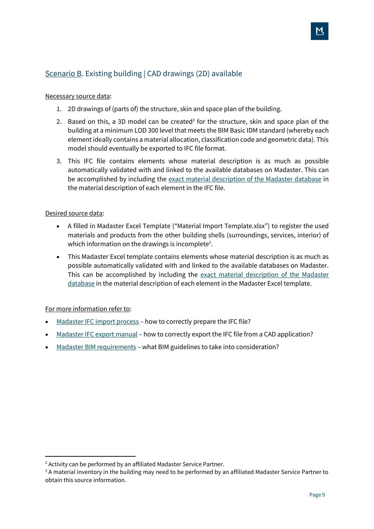### <span id="page-8-0"></span>Scenario B. Existing building | CAD drawings (2D) available

#### Necessary source data:

- 1. 2D drawings of (parts of) the structure, skin and space plan of the building.
- 2. Based on this, a 3D model can be created<sup>2</sup> for the structure, skin and space plan of the building at a minimum LOD 300 level that meets the BIM Basic IDM standard (whereby each elementideally contains a material allocation, classification code and geometric data). This model should eventually be exported to IFC file format.
- 3. This IFC file contains elements whose material description is as much as possible automatically validated with and linked to the available databases on Madaster. This can be accomplished by including the exact material [description](https://docs.madaster.com/ch/en/) of the Madaster database in the material description of each element in the IFC file.

#### Desired source data:

- A filled in Madaster Excel Template ("Material Import Template.xlsx") to register the used materials and products from the other building shells (surroundings, services, interior) of which information on the drawings is incomplete<sup>3</sup>.
- This Madaster Excel template contains elements whose material description is as much as possible automatically validated with and linked to the available databases on Madaster. This can be accomplished by including the exact material [description](https://docs.madaster.com/ch/en/) of the Madaster [database](https://docs.madaster.com/ch/en/) in the material description of each element in the Madaster Excel template.

#### For more information refer to:

- [Madaster](https://docs.madaster.com/ch/en/) IFC import process how to correctly prepare the IFC file?
- [Madaster](https://docs.madaster.com/ch/en/) IFC export manual how to correctly export the IFC file from a CAD application?
- Madaster BIM [requirements](https://docs.madaster.com/ch/en/) what BIM guidelines to take into consideration?

<sup>&</sup>lt;sup>2</sup> Activity can be performed by an affiliated Madaster Service Partner.

<sup>&</sup>lt;sup>3</sup> A material inventory in the building may need to be performed by an affiliated Madaster Service Partner to obtain this source information.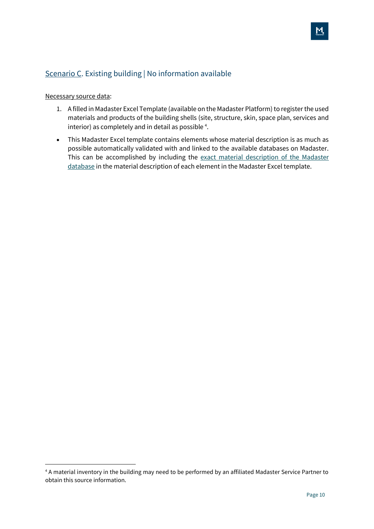### <span id="page-9-0"></span>Scenario C. Existing building | No information available

#### Necessary source data:

- 1. A filled in Madaster Excel Template (available on the Madaster Platform) to register the used materials and products of the building shells (site, structure, skin, space plan, services and interior) as completely and in detail as possible<sup>4</sup>.
- This Madaster Excel template contains elements whose material description is as much as possible automatically validated with and linked to the available databases on Madaster. This can be accomplished by including the exact material [description](https://docs.madaster.com/ch/en/) of the Madaster [database](https://docs.madaster.com/ch/en/) in the material description of each element in the Madaster Excel template.

<sup>4</sup> A material inventory in the building may need to be performed by an affiliated Madaster Service Partner to obtain this source information.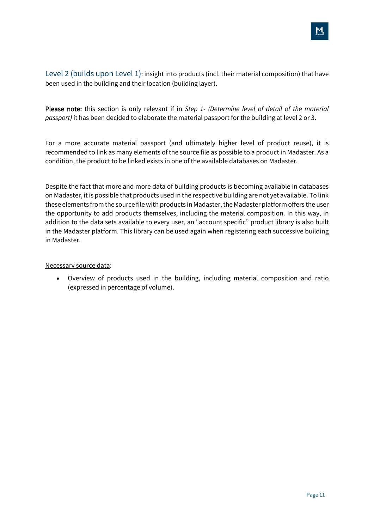

<span id="page-10-0"></span>Level 2 (builds upon Level 1): insight into products (incl. their material composition) that have been used in the building and their location (building layer).

Please note: this section is only relevant if in *[Step 1-](#page-3-0) [\(Determine](#page-3-0) level of detail of the material [passport\)](#page-3-0)* it has been decided to elaborate the material passport for the building at level 2 or 3.

For a more accurate material passport (and ultimately higher level of product reuse), it is recommended to link as many elements of the source file as possible to a product in Madaster. As a condition, the product to be linked exists in one of the available databases on Madaster.

Despite the fact that more and more data of building products is becoming available in databases on Madaster, it is possible that products used in the respective building are not yet available. To link these elements from the source file with products in Madaster,the Madaster platform offers the user the opportunity to add products themselves, including the material composition. In this way, in addition to the data sets available to every user, an "account specific" product library is also built in the Madaster platform. This library can be used again when registering each successive building in Madaster.

#### Necessary source data:

• Overview of products used in the building, including material composition and ratio (expressed in percentage of volume).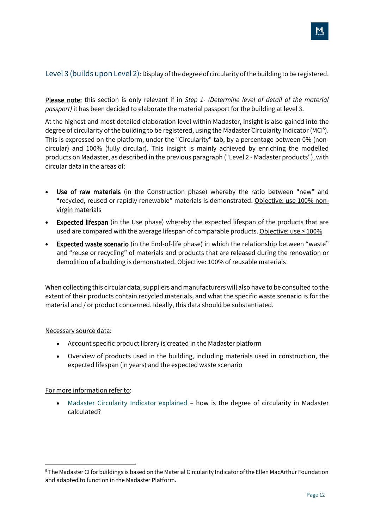<span id="page-11-0"></span>Please note: this section is only relevant if in *[Step 1-](#page-3-0) [\(Determine](#page-3-0) level of detail of the material [passport\)](#page-3-0)* it has been decided to elaborate the material passport for the building at level 3.

At the highest and most detailed elaboration level within Madaster, insight is also gained into the degree of circularity of the building to be registered, using the Madaster Circularity Indicator (MCI<sup>5</sup>). This is expressed on the platform, under the "Circularity" tab, by a percentage between 0% (noncircular) and 100% (fully circular). This insight is mainly achieved by enriching the modelled products on Madaster, as described in the previous paragraph ("Level 2 - Madaster products"), with circular data in the areas of:

- Use of raw materials (in the Construction phase) whereby the ratio between "new" and "recycled, reused or rapidly renewable" materials is demonstrated. Objective: use 100% nonvirgin materials
- **Expected lifespan** (in the Use phase) whereby the expected lifespan of the products that are used are compared with the average lifespan of comparable products. Objective: use > 100%
- Expected waste scenario (in the End-of-life phase) in which the relationship between "waste" and "reuse or recycling" of materials and products that are released during the renovation or demolition of a building is demonstrated. Objective: 100% of reusable materials

When collecting this circular data, suppliers and manufacturers will also have to be consulted to the extent of their products contain recycled materials, and what the specific waste scenario is for the material and / or product concerned. Ideally, this data should be substantiated.

#### Necessary source data:

- Account specific product library is created in the Madaster platform
- Overview of products used in the building, including materials used in construction, the expected lifespan (in years) and the expected waste scenario

#### For more information refer to:

Madaster [Circularity](https://docs.madaster.com/ch/en/) Indicator explained – how is the degree of circularity in Madaster calculated?

<sup>5</sup> The Madaster CI for buildings is based on the Material Circularity Indicator of the Ellen MacArthur Foundation and adapted to function in the Madaster Platform.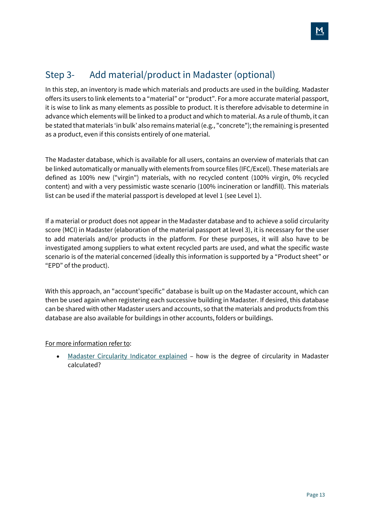# <span id="page-12-0"></span>Step 3- Add material/product in Madaster (optional)

In this step, an inventory is made which materials and products are used in the building. Madaster offers its users to link elements to a "material" or "product". For a more accurate material passport, it is wise to link as many elements as possible to product. It is therefore advisable to determine in advance which elements will be linked to a product and which to material. As a rule of thumb, it can be stated that materials 'in bulk' also remains material (e.g., "concrete"); the remaining is presented as a product, even if this consists entirely of one material.

The Madaster database, which is available for all users, contains an overview of materials that can be linked automatically or manually with elements from source files (IFC/Excel). These materials are defined as 100% new ("virgin") materials, with no recycled content (100% virgin, 0% recycled content) and with a very pessimistic waste scenario (100% incineration or landfill). This materials list can be used if the material passport is developed at level 1 (see Level 1).

If a material or product does not appear in the Madaster database and to achieve a solid circularity score (MCI) in Madaster (elaboration of the material passport at level 3), it is necessary for the user to add materials and/or products in the platform. For these purposes, it will also have to be investigated among suppliers to what extent recycled parts are used, and what the specific waste scenario is of the material concerned (ideally this information is supported by a "Product sheet" or "EPD" of the product).

With this approach, an "account'specific" database is built up on the Madaster account, which can then be used again when registering each successive building in Madaster. If desired, this database can be shared with other Madaster users and accounts, so that the materials and products from this database are also available for buildings in other accounts, folders or buildings.

For more information refer to:

• Madaster [Circularity](https://docs.madaster.com/ch/en/) Indicator explained - how is the degree of circularity in Madaster calculated?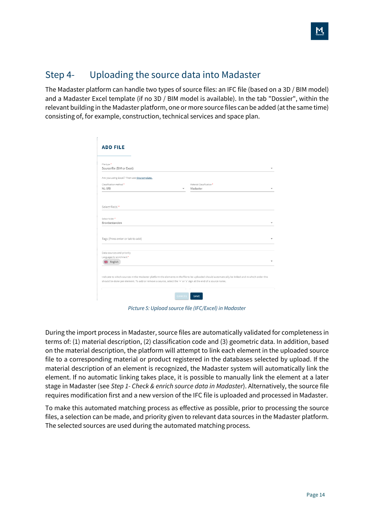### <span id="page-13-0"></span>Step 4- Uploading the source data into Madaster

The Madaster platform can handle two types of source files: an IFC file (based on a 3D / BIM model) and a Madaster Excel template (if no 3D / BIM model is available). In the tab "Dossier", within the relevant building in the Madaster platform, one or more source files can be added (atthe same time) consisting of, for example, construction, technical services and space plan.

| <b>ADD FILE</b>                                                                                                                                                                                                                                                     |                                      |
|---------------------------------------------------------------------------------------------------------------------------------------------------------------------------------------------------------------------------------------------------------------------|--------------------------------------|
|                                                                                                                                                                                                                                                                     |                                      |
| File type *<br>Source file (BIM or Excel)                                                                                                                                                                                                                           |                                      |
| Are you using Excel? Then use this template.                                                                                                                                                                                                                        |                                      |
| Classification method *<br>NI-SfB<br>$\checkmark$                                                                                                                                                                                                                   | Material Classification*<br>Madaster |
| Select file(s) *                                                                                                                                                                                                                                                    |                                      |
| Select folder*<br>Bronbestanden                                                                                                                                                                                                                                     |                                      |
| Tags (Press enter or tab to add)                                                                                                                                                                                                                                    |                                      |
| Data sources and priority                                                                                                                                                                                                                                           |                                      |
| Languages for enrichment*<br>别 English                                                                                                                                                                                                                              |                                      |
| Indicate to which sources in the Madaster platform the elements in the file to be uploaded should automatically be linked and in which order this<br>should be done per element. To add or remove a source, select the '+' or 'x' sign at the end of a source name. |                                      |
| CANCEL                                                                                                                                                                                                                                                              | SAVE                                 |

*Picture 5: Upload source file (IFC/Excel) in Madaster*

During the import process in Madaster, source files are automatically validated for completeness in terms of: (1) material description, (2) classification code and (3) geometric data. In addition, based on the material description, the platform will attempt to link each element in the uploaded source file to a corresponding material or product registered in the databases selected by upload. If the material description of an element is recognized, the Madaster system will automatically link the element. If no automatic linking takes place, it is possible to manually link the element at a later stage in Madaster (see *[Step 1-](#page-3-0) Check & enrich source data in [Madaster](#page-15-0)*). Alternatively, the source file requires modification first and a new version of the IFC file is uploaded and processed in Madaster.

To make this automated matching process as effective as possible, prior to processing the source files, a selection can be made, and priority given to relevant data sources in the Madaster platform. The selected sources are used during the automated matching process.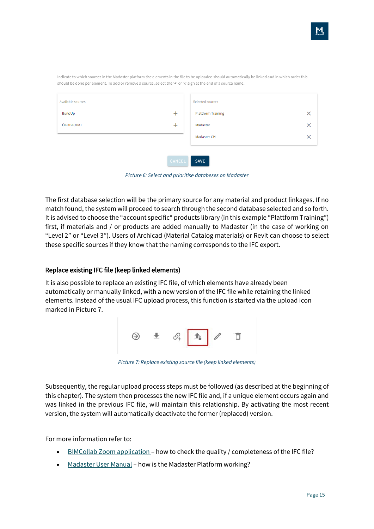| Available sources |        | Selected sources          |          |
|-------------------|--------|---------------------------|----------|
| BuildUp           | $\pm$  | <b>Plattform Training</b> | ×        |
| ÖKOBAUDAT         | $\pm$  | Madaster                  | $\times$ |
|                   |        | Madaster CH               | ×        |
|                   |        |                           |          |
|                   | CANCEL | SAVE                      |          |

Indicate to which sources in the Madaster platform the elements in the file to be uploaded should automatically be linked and in which order this should be done per element. To add or remove a source, select the '+' or 'x' sign at the end of a source name.

*Picture 6: Select and prioritise databeses on Madaster*

The first database selection will be the primary source for any material and product linkages. If no match found, the system will proceed to search through the second database selected and so forth. It is advised to choose the "account specific" products library (in this example "Plattform Training") first, if materials and / or products are added manually to Madaster (in the case of working on "Level 2" or "Level 3"). Users of Archicad (Material Catalog materials) or Revit can choose to select these specific sources if they know that the naming corresponds to the IFC export.

#### Replace existing IFC file (keep linked elements)

It is also possible to replace an existing IFC file, of which elements have already been automatically or manually linked, with a new version of the IFC file while retaining the linked elements. Instead of the usual IFC upload process, this function is started via the upload icon marked in Picture 7.



*Picture 7: Replace existing source file (keep linked elements)*

Subsequently, the regular upload process steps must be followed (as described at the beginning of this chapter). The system then processes the new IFC file and, if a unique element occurs again and was linked in the previous IFC file, will maintain this relationship. By activating the most recent version, the system will automatically deactivate the former (replaced) version.

For more information refer to:

- BIMCollab Zoom [application](https://www.bimcollab.com/en/zoom/free-ifc-viewer) how to check the quality / completeness of the IFC file?
- [Madaster](https://docs.madaster.com/ch/en/) User Manual how is the Madaster Platform working?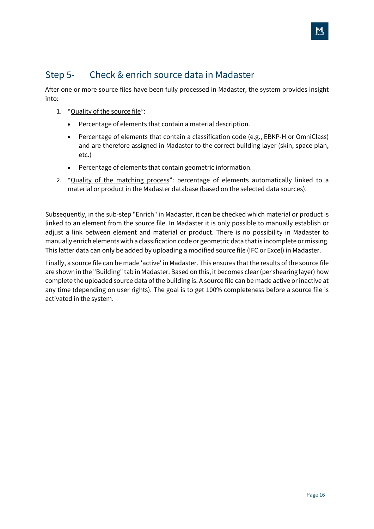### <span id="page-15-0"></span>Step 5- Check & enrich source data in Madaster

After one or more source files have been fully processed in Madaster, the system provides insight into:

- 1. "Quality of the source file":
	- Percentage of elements that contain a material description.
	- Percentage of elements that contain a classification code (e.g., EBKP-H or OmniClass) and are therefore assigned in Madaster to the correct building layer (skin, space plan, etc.)
	- Percentage of elements that contain geometric information.
- 2. "Quality of the matching process": percentage of elements automatically linked to a material or product in the Madaster database (based on the selected data sources).

Subsequently, in the sub-step "Enrich" in Madaster, it can be checked which material or product is linked to an element from the source file. In Madaster it is only possible to manually establish or adjust a link between element and material or product. There is no possibility in Madaster to manually enrich elements with a classification code or geometric data thatis incomplete or missing. This latter data can only be added by uploading a modified source file (IFC or Excel) in Madaster.

Finally, a source file can be made 'active' in Madaster. This ensures that the results of the source file are shown in the "Building" tab in Madaster. Based on this, it becomes clear (per shearing layer) how complete the uploaded source data of the building is. A source file can be made active or inactive at any time (depending on user rights). The goal is to get 100% completeness before a source file is activated in the system.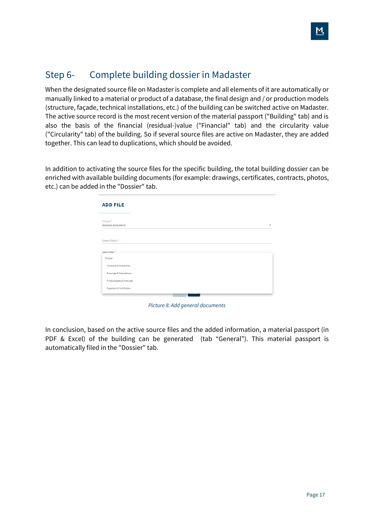### <span id="page-16-0"></span>Step 6- Complete building dossier in Madaster

When the designated source file on Madaster is complete and all elements of it are automatically or manually linked to a material or product of a database, the final design and / or production models (structure, façade, technical installations, etc.) of the building can be switched active on Madaster. The active source record is the most recent version of the material passport ("Building" tab) and is also the basis of the financial (residual-)value ("Financial" tab) and the circularity value ("Circularity" tab) of the building. So if several source files are active on Madaster, they are added together. This can lead to duplications, which should be avoided.

In addition to activating the source files for the specific building, the total building dossier can be enriched with available building documents (for example: drawings, certificates, contracts, photos, etc.) can be added in the "Dossier" tab.

| <b>ADD FILE</b>                   |  |  |
|-----------------------------------|--|--|
| File type *<br>General document   |  |  |
| Select file(s) *                  |  |  |
| Select folder*                    |  |  |
|                                   |  |  |
| Dossier<br>Contracts & Guaranties |  |  |
| Drawings & Calculations           |  |  |

*Picture 8: Add general documents*

In conclusion, based on the active source files and the added information, a material passport (in PDF & Excel) of the building can be generated (tab "General"). This material passport is automatically filed in the "Dossier" tab.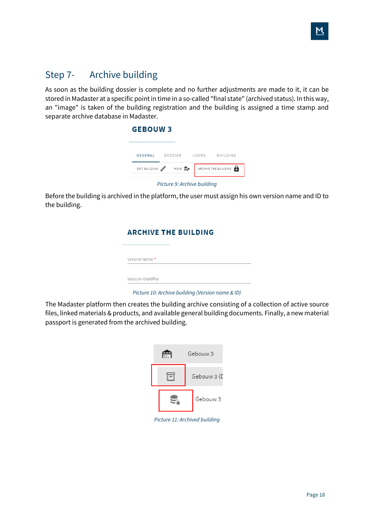### <span id="page-17-0"></span>Step 7- Archive building

As soon as the building dossier is complete and no further adjustments are made to it, it can be stored in Madaster at a specific point in time in a so-called "final state" (archived status). In this way, an "image" is taken of the building registration and the building is assigned a time stamp and separate archive database in Madaster.

| <b>GEBOUW3</b>  |                                |                      |
|-----------------|--------------------------------|----------------------|
|                 | GENERAL DOSSIER USERS BUILDING |                      |
| EDIT BUILDING / | MOVE <u>II</u> 's <sup>+</sup> | ARCHIVE THE BUILDING |

*Picture 9: Archive building*

Before the building is archived in the platform, the user must assign his own version name and ID to the building.

|                    | <b>ARCHIVE THE BUILDING</b> |  |
|--------------------|-----------------------------|--|
| Version Name*      |                             |  |
| Version Identifier |                             |  |

*Picture 10: Archive building (Version name & ID)*

The Madaster platform then creates the building archive consisting of a collection of active source files, linked materials & products, and available general building documents. Finally, a new material passport is generated from the archived building.



*Picture 11: Archived building*